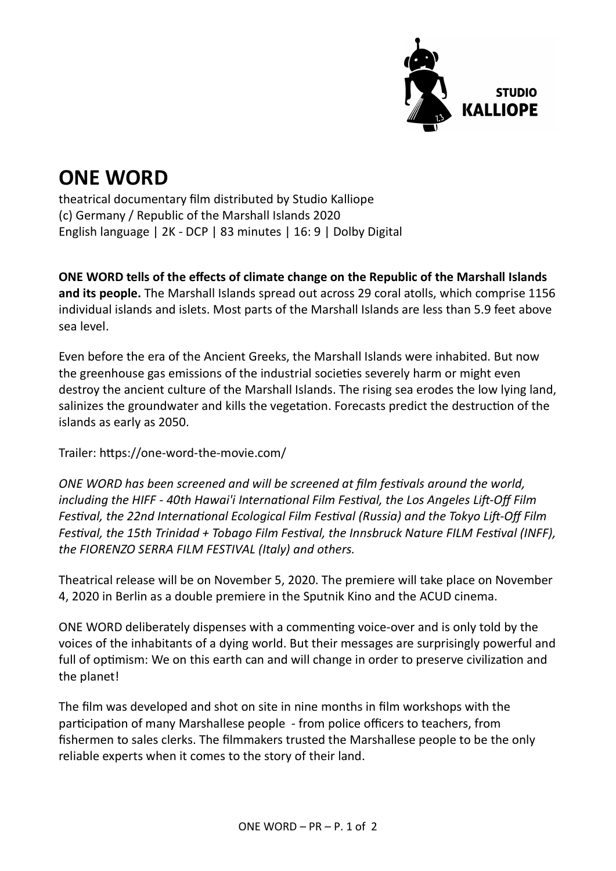

## ONE WORD

theatrical documentary film distributed by Studio Kalliope (c) Germany / Republic of the Marshall Islands 2020 English language | 2K - DCP | 83 minutes | 16: 9 | Dolby Digital

ONE WORD tells of the effects of climate change on the Republic of the Marshall Islands and its people. The Marshall Islands spread out across 29 coral atolls, which comprise 1156 individual islands and islets. Most parts of the Marshall Islands are less than 5.9 feet above sea level.

Even before the era of the Ancient Greeks, the Marshall Islands were inhabited. But now the greenhouse gas emissions of the industrial societies severely harm or might even destroy the ancient culture of the Marshall Islands. The rising sea erodes the low lying land, salinizes the groundwater and kills the vegetation. Forecasts predict the destruction of the islands as early as 2050.

Trailer: hƩps://one-word-the-movie.com/

ONE WORD has been screened and will be screened at film festivals around the world, including the HIFF - 40th Hawai'i International Film Festival, the Los Angeles Lift-Off Film Festival, the 22nd International Ecological Film Festival (Russia) and the Tokyo Lift-Off Film Festival, the 15th Trinidad + Tobago Film Festival, the Innsbruck Nature FILM Festival (INFF), the FIORENZO SERRA FILM FESTIVAL (Italy) and others.

Theatrical release will be on November 5, 2020. The premiere will take place on November 4, 2020 in Berlin as a double premiere in the Sputnik Kino and the ACUD cinema.

ONE WORD deliberately dispenses with a commenting voice-over and is only told by the voices of the inhabitants of a dying world. But their messages are surprisingly powerful and full of optimism: We on this earth can and will change in order to preserve civilization and the planet!

The film was developed and shot on site in nine months in film workshops with the participation of many Marshallese people - from police officers to teachers, from fishermen to sales clerks. The filmmakers trusted the Marshallese people to be the only reliable experts when it comes to the story of their land.